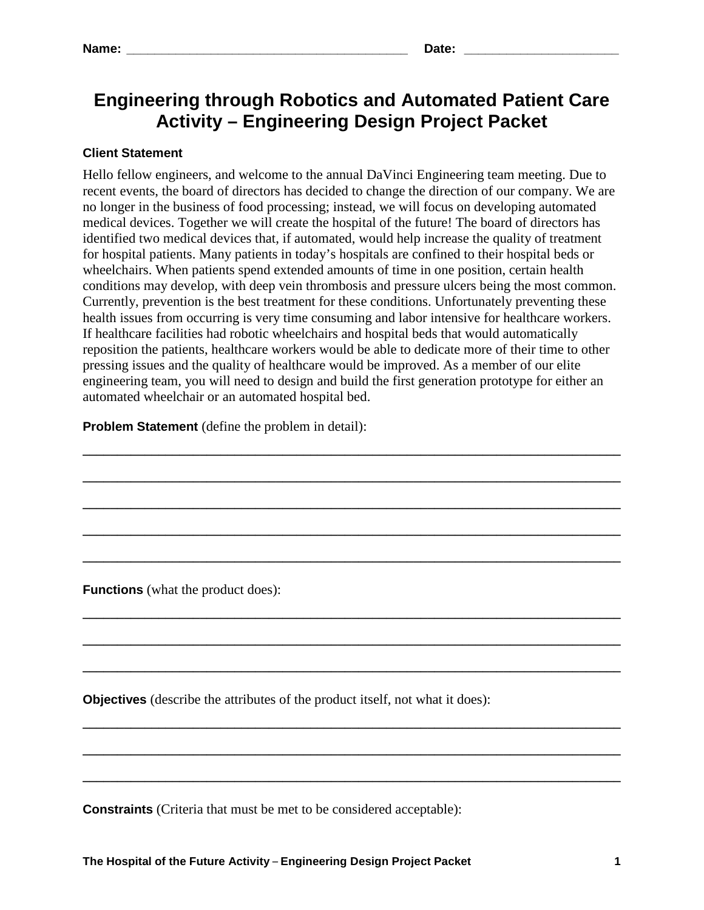# **Engineering through Robotics and Automated Patient Care Activity – Engineering Design Project Packet**

## **Client Statement**

Hello fellow engineers, and welcome to the annual DaVinci Engineering team meeting. Due to recent events, the board of directors has decided to change the direction of our company. We are no longer in the business of food processing; instead, we will focus on developing automated medical devices. Together we will create the hospital of the future! The board of directors has identified two medical devices that, if automated, would help increase the quality of treatment for hospital patients. Many patients in today's hospitals are confined to their hospital beds or wheelchairs. When patients spend extended amounts of time in one position, certain health conditions may develop, with deep vein thrombosis and pressure ulcers being the most common. Currently, prevention is the best treatment for these conditions. Unfortunately preventing these health issues from occurring is very time consuming and labor intensive for healthcare workers. If healthcare facilities had robotic wheelchairs and hospital beds that would automatically reposition the patients, healthcare workers would be able to dedicate more of their time to other pressing issues and the quality of healthcare would be improved. As a member of our elite engineering team, you will need to design and build the first generation prototype for either an automated wheelchair or an automated hospital bed.

**\_\_\_\_\_\_\_\_\_\_\_\_\_\_\_\_\_\_\_\_\_\_\_\_\_\_\_\_\_\_\_\_\_\_\_\_\_\_\_\_\_\_\_\_\_\_\_\_\_\_\_\_\_\_\_\_\_\_\_\_\_\_\_\_\_\_\_\_\_\_\_\_\_\_\_\_\_\_**

**\_\_\_\_\_\_\_\_\_\_\_\_\_\_\_\_\_\_\_\_\_\_\_\_\_\_\_\_\_\_\_\_\_\_\_\_\_\_\_\_\_\_\_\_\_\_\_\_\_\_\_\_\_\_\_\_\_\_\_\_\_\_\_\_\_\_\_\_\_\_\_\_\_\_\_\_\_\_**

**\_\_\_\_\_\_\_\_\_\_\_\_\_\_\_\_\_\_\_\_\_\_\_\_\_\_\_\_\_\_\_\_\_\_\_\_\_\_\_\_\_\_\_\_\_\_\_\_\_\_\_\_\_\_\_\_\_\_\_\_\_\_\_\_\_\_\_\_\_\_\_\_\_\_\_\_\_\_**

**\_\_\_\_\_\_\_\_\_\_\_\_\_\_\_\_\_\_\_\_\_\_\_\_\_\_\_\_\_\_\_\_\_\_\_\_\_\_\_\_\_\_\_\_\_\_\_\_\_\_\_\_\_\_\_\_\_\_\_\_\_\_\_\_\_\_\_\_\_\_\_\_\_\_\_\_\_\_**

**\_\_\_\_\_\_\_\_\_\_\_\_\_\_\_\_\_\_\_\_\_\_\_\_\_\_\_\_\_\_\_\_\_\_\_\_\_\_\_\_\_\_\_\_\_\_\_\_\_\_\_\_\_\_\_\_\_\_\_\_\_\_\_\_\_\_\_\_\_\_\_\_\_\_\_\_\_\_**

**\_\_\_\_\_\_\_\_\_\_\_\_\_\_\_\_\_\_\_\_\_\_\_\_\_\_\_\_\_\_\_\_\_\_\_\_\_\_\_\_\_\_\_\_\_\_\_\_\_\_\_\_\_\_\_\_\_\_\_\_\_\_\_\_\_\_\_\_\_\_\_\_\_\_\_\_\_\_**

**\_\_\_\_\_\_\_\_\_\_\_\_\_\_\_\_\_\_\_\_\_\_\_\_\_\_\_\_\_\_\_\_\_\_\_\_\_\_\_\_\_\_\_\_\_\_\_\_\_\_\_\_\_\_\_\_\_\_\_\_\_\_\_\_\_\_\_\_\_\_\_\_\_\_\_\_\_\_**

**\_\_\_\_\_\_\_\_\_\_\_\_\_\_\_\_\_\_\_\_\_\_\_\_\_\_\_\_\_\_\_\_\_\_\_\_\_\_\_\_\_\_\_\_\_\_\_\_\_\_\_\_\_\_\_\_\_\_\_\_\_\_\_\_\_\_\_\_\_\_\_\_\_\_\_\_\_\_**

**\_\_\_\_\_\_\_\_\_\_\_\_\_\_\_\_\_\_\_\_\_\_\_\_\_\_\_\_\_\_\_\_\_\_\_\_\_\_\_\_\_\_\_\_\_\_\_\_\_\_\_\_\_\_\_\_\_\_\_\_\_\_\_\_\_\_\_\_\_\_\_\_\_\_\_\_\_\_**

**\_\_\_\_\_\_\_\_\_\_\_\_\_\_\_\_\_\_\_\_\_\_\_\_\_\_\_\_\_\_\_\_\_\_\_\_\_\_\_\_\_\_\_\_\_\_\_\_\_\_\_\_\_\_\_\_\_\_\_\_\_\_\_\_\_\_\_\_\_\_\_\_\_\_\_\_\_\_**

**\_\_\_\_\_\_\_\_\_\_\_\_\_\_\_\_\_\_\_\_\_\_\_\_\_\_\_\_\_\_\_\_\_\_\_\_\_\_\_\_\_\_\_\_\_\_\_\_\_\_\_\_\_\_\_\_\_\_\_\_\_\_\_\_\_\_\_\_\_\_\_\_\_\_\_\_\_\_**

**Problem Statement** (define the problem in detail):

**Functions** (what the product does):

**Objectives** (describe the attributes of the product itself, not what it does):

**Constraints** (Criteria that must be met to be considered acceptable):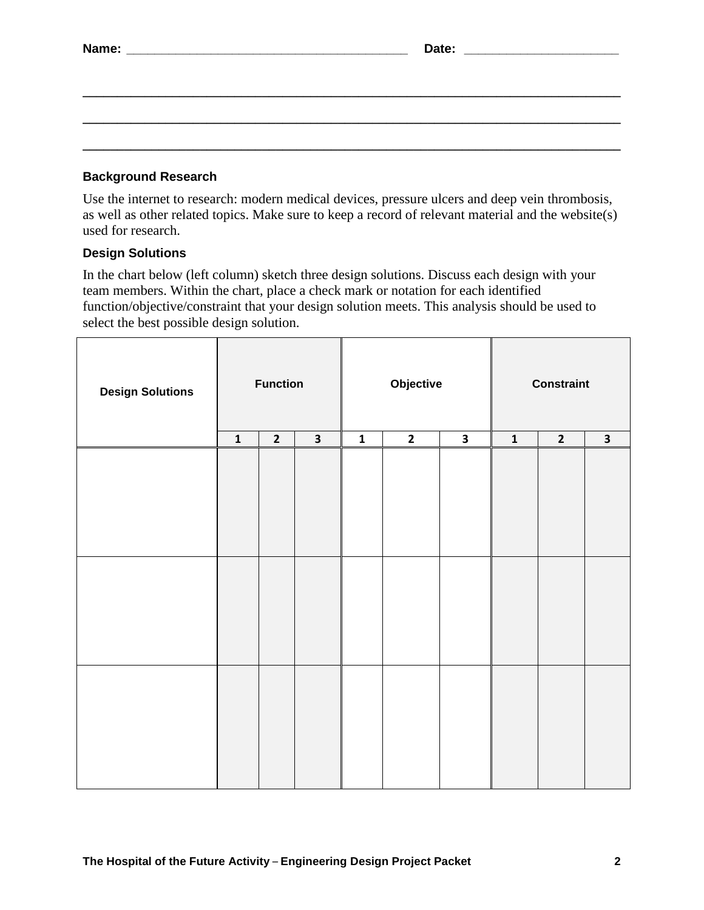#### **Background Research**

Use the internet to research: modern medical devices, pressure ulcers and deep vein thrombosis, as well as other related topics. Make sure to keep a record of relevant material and the website(s) used for research.

**\_\_\_\_\_\_\_\_\_\_\_\_\_\_\_\_\_\_\_\_\_\_\_\_\_\_\_\_\_\_\_\_\_\_\_\_\_\_\_\_\_\_\_\_\_\_\_\_\_\_\_\_\_\_\_\_\_\_\_\_\_\_\_\_\_\_\_\_\_\_\_\_\_\_\_\_\_\_**

**\_\_\_\_\_\_\_\_\_\_\_\_\_\_\_\_\_\_\_\_\_\_\_\_\_\_\_\_\_\_\_\_\_\_\_\_\_\_\_\_\_\_\_\_\_\_\_\_\_\_\_\_\_\_\_\_\_\_\_\_\_\_\_\_\_\_\_\_\_\_\_\_\_\_\_\_\_\_**

**\_\_\_\_\_\_\_\_\_\_\_\_\_\_\_\_\_\_\_\_\_\_\_\_\_\_\_\_\_\_\_\_\_\_\_\_\_\_\_\_\_\_\_\_\_\_\_\_\_\_\_\_\_\_\_\_\_\_\_\_\_\_\_\_\_\_\_\_\_\_\_\_\_\_\_\_\_\_**

#### **Design Solutions**

In the chart below (left column) sketch three design solutions. Discuss each design with your team members. Within the chart, place a check mark or notation for each identified function/objective/constraint that your design solution meets. This analysis should be used to select the best possible design solution.

| <b>Design Solutions</b> | <b>Function</b> |              |                         | Objective   |              |                         | <b>Constraint</b>       |                |              |
|-------------------------|-----------------|--------------|-------------------------|-------------|--------------|-------------------------|-------------------------|----------------|--------------|
|                         | $\mathbf{1}$    | $\mathbf{2}$ | $\overline{\mathbf{3}}$ | $\mathbf 1$ | $\mathbf{2}$ | $\overline{\mathbf{3}}$ | $\overline{\mathbf{1}}$ | $\overline{2}$ | $\mathbf{3}$ |
|                         |                 |              |                         |             |              |                         |                         |                |              |
|                         |                 |              |                         |             |              |                         |                         |                |              |
|                         |                 |              |                         |             |              |                         |                         |                |              |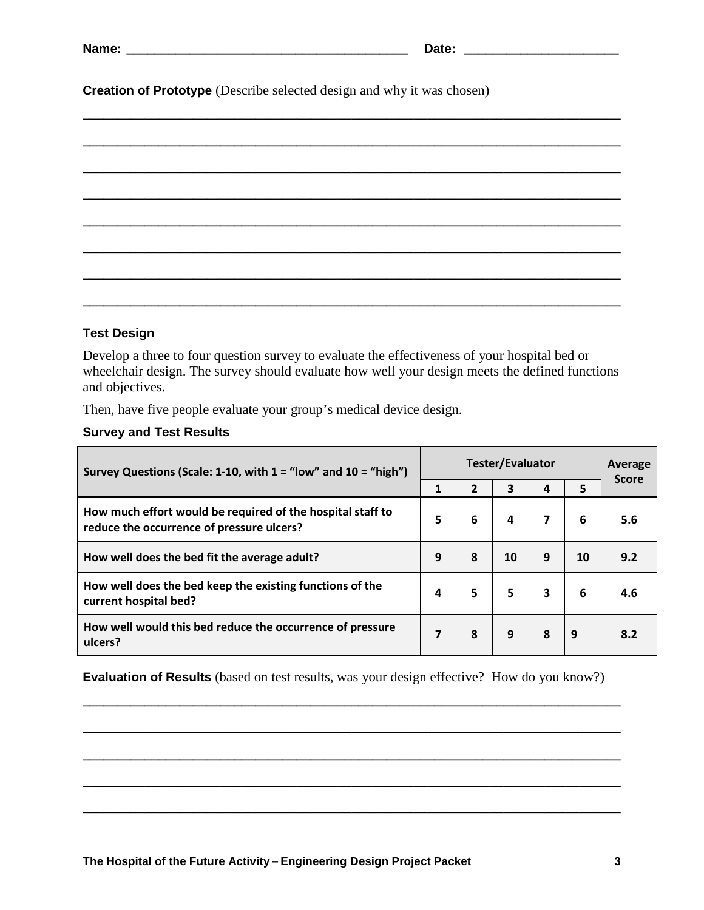| ат |  |
|----|--|
|    |  |

**Creation of Prototype** (Describe selected design and why it was chosen)

#### **Test Design**

Develop a three to four question survey to evaluate the effectiveness of your hospital bed or wheelchair design. The survey should evaluate how well your design meets the defined functions and objectives.

Then, have five people evaluate your group's medical device design.

### **Survey and Test Results**

| Survey Questions (Scale: 1-10, with $1 =$ "low" and $10 =$ "high")                                      |   | <b>Tester/Evaluator</b> |    |   |    |              |
|---------------------------------------------------------------------------------------------------------|---|-------------------------|----|---|----|--------------|
|                                                                                                         | 1 |                         | 3  | 4 | 5  | <b>Score</b> |
| How much effort would be required of the hospital staff to<br>reduce the occurrence of pressure ulcers? | 5 | 6                       | 4  | 7 | 6  | 5.6          |
| How well does the bed fit the average adult?                                                            | 9 | 8                       | 10 | 9 | 10 | 9.2          |
| How well does the bed keep the existing functions of the<br>current hospital bed?                       | 4 | 5                       | 5  | 3 | 6  | 4.6          |
| How well would this bed reduce the occurrence of pressure<br>ulcers?                                    | 7 | 8                       | 9  | 8 | 9  | 8.2          |

**Evaluation of Results** (based on test results, was your design effective? How do you know?)

**\_\_\_\_\_\_\_\_\_\_\_\_\_\_\_\_\_\_\_\_\_\_\_\_\_\_\_\_\_\_\_\_\_\_\_\_\_\_\_\_\_\_\_\_\_\_\_\_\_\_\_\_\_\_\_\_\_\_\_\_\_\_\_\_\_\_\_\_\_\_\_\_\_\_\_\_\_\_**

**\_\_\_\_\_\_\_\_\_\_\_\_\_\_\_\_\_\_\_\_\_\_\_\_\_\_\_\_\_\_\_\_\_\_\_\_\_\_\_\_\_\_\_\_\_\_\_\_\_\_\_\_\_\_\_\_\_\_\_\_\_\_\_\_\_\_\_\_\_\_\_\_\_\_\_\_\_\_**

**\_\_\_\_\_\_\_\_\_\_\_\_\_\_\_\_\_\_\_\_\_\_\_\_\_\_\_\_\_\_\_\_\_\_\_\_\_\_\_\_\_\_\_\_\_\_\_\_\_\_\_\_\_\_\_\_\_\_\_\_\_\_\_\_\_\_\_\_\_\_\_\_\_\_\_\_\_\_**

**\_\_\_\_\_\_\_\_\_\_\_\_\_\_\_\_\_\_\_\_\_\_\_\_\_\_\_\_\_\_\_\_\_\_\_\_\_\_\_\_\_\_\_\_\_\_\_\_\_\_\_\_\_\_\_\_\_\_\_\_\_\_\_\_\_\_\_\_\_\_\_\_\_\_\_\_\_\_**

**\_\_\_\_\_\_\_\_\_\_\_\_\_\_\_\_\_\_\_\_\_\_\_\_\_\_\_\_\_\_\_\_\_\_\_\_\_\_\_\_\_\_\_\_\_\_\_\_\_\_\_\_\_\_\_\_\_\_\_\_\_\_\_\_\_\_\_\_\_\_\_\_\_\_\_\_\_\_**